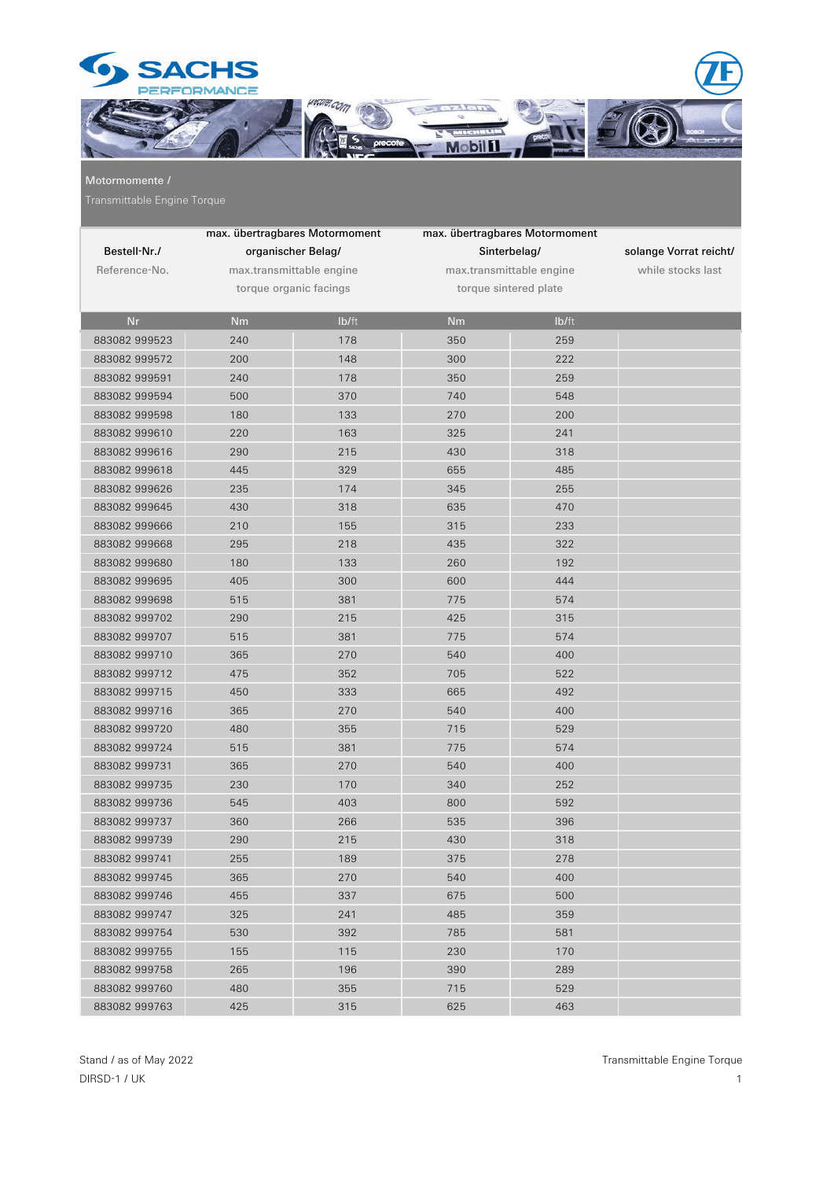

Motormomente /

|               | max. übertragbares Motormoment |       | max. übertragbares Motormoment |       |                        |
|---------------|--------------------------------|-------|--------------------------------|-------|------------------------|
| Bestell-Nr./  | organischer Belag/             |       | Sinterbelag/                   |       | solange Vorrat reicht/ |
| Reference-No. | max.transmittable engine       |       | max.transmittable engine       |       | while stocks last      |
|               | torque organic facings         |       | torque sintered plate          |       |                        |
|               |                                |       |                                |       |                        |
| <b>Nr</b>     | <b>Nm</b>                      | lb/ft | <b>Nm</b>                      | lb/ft |                        |
| 883082 999523 | 240                            | 178   | 350                            | 259   |                        |
| 883082 999572 | 200                            | 148   | 300                            | 222   |                        |
| 883082 999591 | 240                            | 178   | 350                            | 259   |                        |
| 883082 999594 | 500                            | 370   | 740                            | 548   |                        |
| 883082 999598 | 180                            | 133   | 270                            | 200   |                        |
| 883082 999610 | 220                            | 163   | 325                            | 241   |                        |
| 883082 999616 | 290                            | 215   | 430                            | 318   |                        |
| 883082 999618 | 445                            | 329   | 655                            | 485   |                        |
| 883082 999626 | 235                            | 174   | 345                            | 255   |                        |
| 883082 999645 | 430                            | 318   | 635                            | 470   |                        |
| 883082 999666 | 210                            | 155   | 315                            | 233   |                        |
| 883082 999668 | 295                            | 218   | 435                            | 322   |                        |
| 883082 999680 | 180                            | 133   | 260                            | 192   |                        |
| 883082 999695 | 405                            | 300   | 600                            | 444   |                        |
| 883082 999698 | 515                            | 381   | 775                            | 574   |                        |
| 883082 999702 | 290                            | 215   | 425                            | 315   |                        |
| 883082 999707 | 515                            | 381   | 775                            | 574   |                        |
| 883082 999710 | 365                            | 270   | 540                            | 400   |                        |
| 883082 999712 | 475                            | 352   | 705                            | 522   |                        |
| 883082 999715 | 450                            | 333   | 665                            | 492   |                        |
| 883082 999716 | 365                            | 270   | 540                            | 400   |                        |
| 883082 999720 | 480                            | 355   | 715                            | 529   |                        |
| 883082 999724 | 515                            | 381   | 775                            | 574   |                        |
| 883082 999731 | 365                            | 270   | 540                            | 400   |                        |
| 883082 999735 | 230                            | 170   | 340                            | 252   |                        |
| 883082 999736 | 545                            | 403   | 800                            | 592   |                        |
| 883082 999737 | 360                            | 266   | 535                            | 396   |                        |
| 883082 999739 | 290                            | 215   | 430                            | 318   |                        |
| 883082 999741 | 255                            | 189   | 375                            | 278   |                        |
| 883082 999745 | 365                            | 270   | 540                            | 400   |                        |
| 883082 999746 | 455                            | 337   | 675                            | 500   |                        |
| 883082 999747 | 325                            | 241   | 485                            | 359   |                        |
| 883082 999754 | 530                            | 392   | 785                            | 581   |                        |
| 883082 999755 | 155                            | 115   | 230                            | 170   |                        |
| 883082 999758 | 265                            | 196   | 390                            | 289   |                        |
| 883082 999760 | 480                            | 355   | 715                            | 529   |                        |
| 883082 999763 | 425                            | 315   | 625                            | 463   |                        |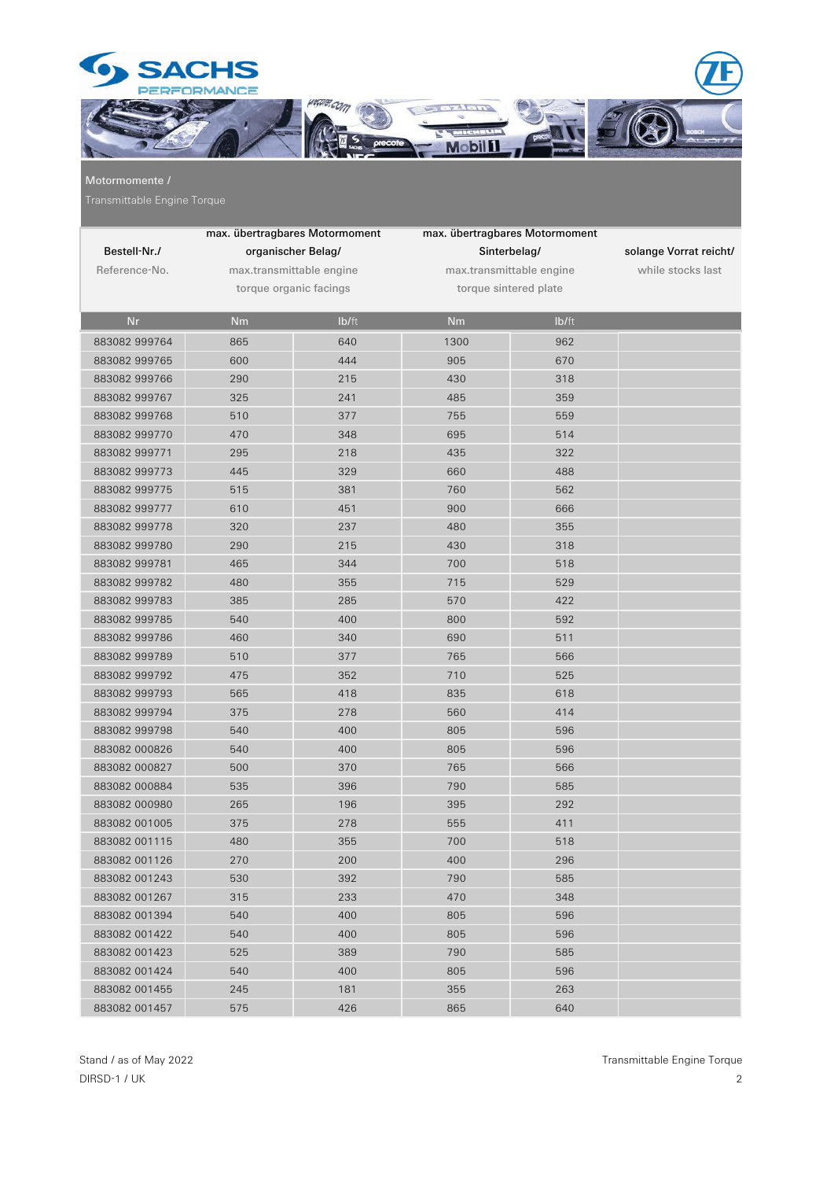

## Motormomente /

|               | max. übertragbares Motormoment |       | max. übertragbares Motormoment |       |                        |
|---------------|--------------------------------|-------|--------------------------------|-------|------------------------|
| Bestell-Nr./  | organischer Belag/             |       | Sinterbelag/                   |       | solange Vorrat reicht/ |
| Reference-No. | max.transmittable engine       |       | max.transmittable engine       |       | while stocks last      |
|               | torque organic facings         |       | torque sintered plate          |       |                        |
|               |                                |       |                                |       |                        |
| <b>Nr</b>     | <b>Nm</b>                      | Ib/ft | <b>Nm</b>                      | Ib/ft |                        |
| 883082 999764 | 865                            | 640   | 1300                           | 962   |                        |
| 883082 999765 | 600                            | 444   | 905                            | 670   |                        |
| 883082 999766 | 290                            | 215   | 430                            | 318   |                        |
| 883082 999767 | 325                            | 241   | 485                            | 359   |                        |
| 883082 999768 | 510                            | 377   | 755                            | 559   |                        |
| 883082 999770 | 470                            | 348   | 695                            | 514   |                        |
| 883082 999771 | 295                            | 218   | 435                            | 322   |                        |
| 883082 999773 | 445                            | 329   | 660                            | 488   |                        |
| 883082 999775 | 515                            | 381   | 760                            | 562   |                        |
| 883082 999777 | 610                            | 451   | 900                            | 666   |                        |
| 883082 999778 | 320                            | 237   | 480                            | 355   |                        |
| 883082 999780 | 290                            | 215   | 430                            | 318   |                        |
| 883082 999781 | 465                            | 344   | 700                            | 518   |                        |
| 883082 999782 | 480                            | 355   | 715                            | 529   |                        |
| 883082 999783 | 385                            | 285   | 570                            | 422   |                        |
| 883082 999785 | 540                            | 400   | 800                            | 592   |                        |
| 883082 999786 | 460                            | 340   | 690                            | 511   |                        |
| 883082 999789 | 510                            | 377   | 765                            | 566   |                        |
| 883082 999792 | 475                            | 352   | 710                            | 525   |                        |
| 883082 999793 | 565                            | 418   | 835                            | 618   |                        |
| 883082 999794 | 375                            | 278   | 560                            | 414   |                        |
| 883082 999798 | 540                            | 400   | 805                            | 596   |                        |
| 883082 000826 | 540                            | 400   | 805                            | 596   |                        |
| 883082 000827 | 500                            | 370   | 765                            | 566   |                        |
| 883082 000884 | 535                            | 396   | 790                            | 585   |                        |
| 883082 000980 | 265                            | 196   | 395                            | 292   |                        |
| 883082 001005 | 375                            | 278   | 555                            | 411   |                        |
| 883082 001115 | 480                            | 355   | 700                            | 518   |                        |
| 883082 001126 | 270                            | 200   | 400                            | 296   |                        |
| 883082 001243 | 530                            | 392   | 790                            | 585   |                        |
| 883082 001267 | 315                            | 233   | 470                            | 348   |                        |
| 883082 001394 | 540                            | 400   | 805                            | 596   |                        |
| 883082 001422 | 540                            | 400   | 805                            | 596   |                        |
| 883082 001423 | 525                            | 389   | 790                            | 585   |                        |
| 883082 001424 | 540                            | 400   | 805                            | 596   |                        |
| 883082 001455 | 245                            | 181   | 355                            | 263   |                        |
| 883082 001457 | 575                            | 426   | 865                            | 640   |                        |